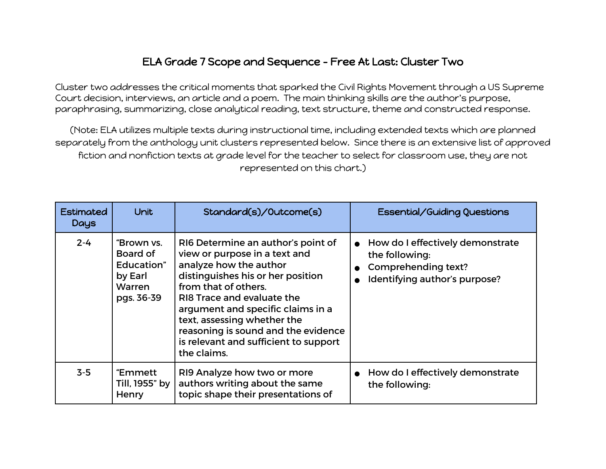## ELA Grade 7 Scope and Sequence - Free At Last: Cluster Two

Cluster two addresses the critical moments that sparked the Civil Rights Movement through a US Supreme Court decision, interviews, an article and a poem. The main thinking skills are the author's purpose, paraphrasing, summarizing, close analytical reading, text structure, theme and constructed response.

(Note: ELA utilizes multiple texts during instructional time, including extended texts which are planned separately from the anthology unit clusters represented below. Since there is an extensive list of approved fiction and nonfiction texts at grade level for the teacher to select for classroom use, they are not represented on this chart.)

| <b>Estimated</b><br>Days | <b>Unit</b>                                                                    | Standard(s)/Outcome(s)                                                                                                                                                                                                                                                                                                                                      | <b>Essential/Guiding Questions</b>                                                                                  |
|--------------------------|--------------------------------------------------------------------------------|-------------------------------------------------------------------------------------------------------------------------------------------------------------------------------------------------------------------------------------------------------------------------------------------------------------------------------------------------------------|---------------------------------------------------------------------------------------------------------------------|
| $2 - 4$                  | "Brown vs.<br>Board of<br>Education"<br>by Earl<br><b>Warren</b><br>pgs. 36-39 | RI6 Determine an author's point of<br>view or purpose in a text and<br>analyze how the author<br>distinguishes his or her position<br>from that of others.<br>RI8 Trace and evaluate the<br>argument and specific claims in a<br>text, assessing whether the<br>reasoning is sound and the evidence<br>is relevant and sufficient to support<br>the claims. | • How do I effectively demonstrate<br>the following:<br><b>Comprehending text?</b><br>Identifying author's purpose? |
| $3-5$                    | "Emmett<br>Till, 1955" by<br>Henry                                             | RI9 Analyze how two or more<br>authors writing about the same<br>topic shape their presentations of                                                                                                                                                                                                                                                         | • How do I effectively demonstrate<br>the following:                                                                |